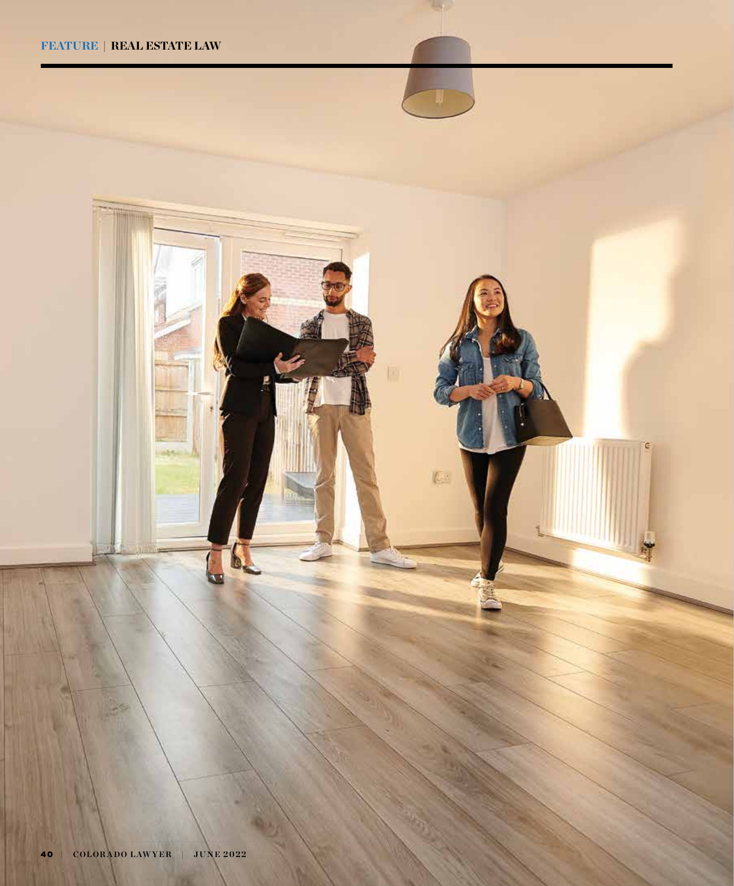# FEATURE | REAL ESTATE LAW



ē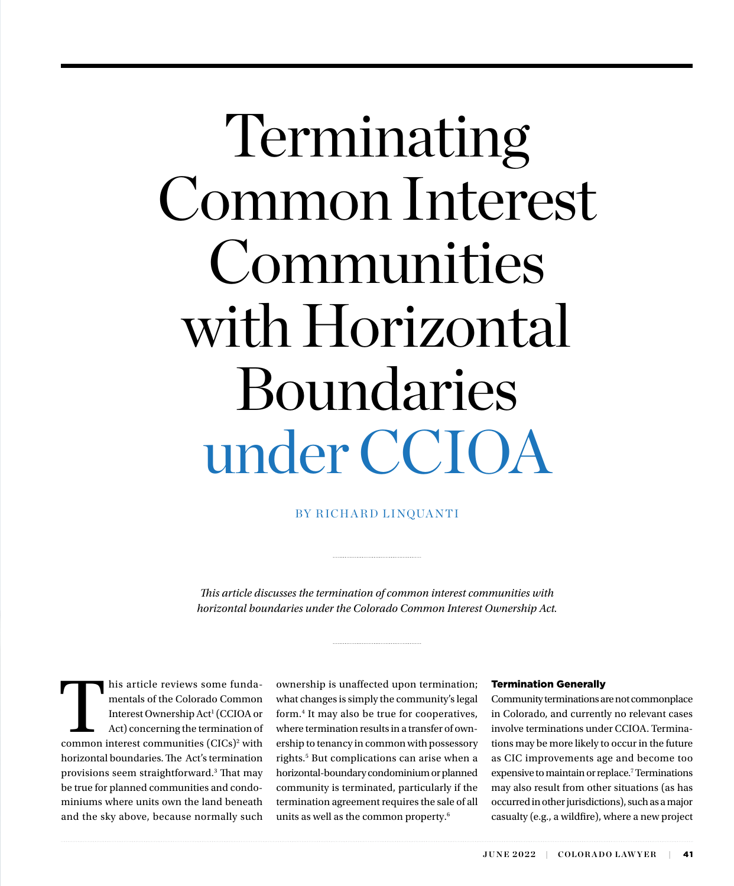# Terminating Common Interest Communities with Horizontal Boundaries under CCIOA

# BY RICHARD LINQUANTI

*This article discusses the termination of common interest communities with horizontal boundaries under the Colorado Common Interest Ownership Act.*

his article reviews some funda-<br>
mentals of the Colorado Common<br>
Interest Ownership Act<sup>1</sup> (CCIOA or<br>
Act) concerning the termination of<br>
common interest communities (CICs)<sup>2</sup> with mentals of the Colorado Common Interest Ownership Act<sup>1</sup> (CCIOA or Act) concerning the termination of horizontal boundaries. The Act's termination provisions seem straightforward.3 That may be true for planned communities and condominiums where units own the land beneath and the sky above, because normally such

ownership is unaffected upon termination; what changes is simply the community's legal form.4 It may also be true for cooperatives, where termination results in a transfer of ownership to tenancy in common with possessory rights.<sup>5</sup> But complications can arise when a horizontal-boundary condominium or planned community is terminated, particularly if the termination agreement requires the sale of all units as well as the common property.6

#### Termination Generally

Community terminations are not commonplace in Colorado, and currently no relevant cases involve terminations under CCIOA. Terminations may be more likely to occur in the future as CIC improvements age and become too expensive to maintain or replace.<sup>7</sup> Terminations may also result from other situations (as has occurred in other jurisdictions), such as a major casualty (e.g., a wildfire), where a new project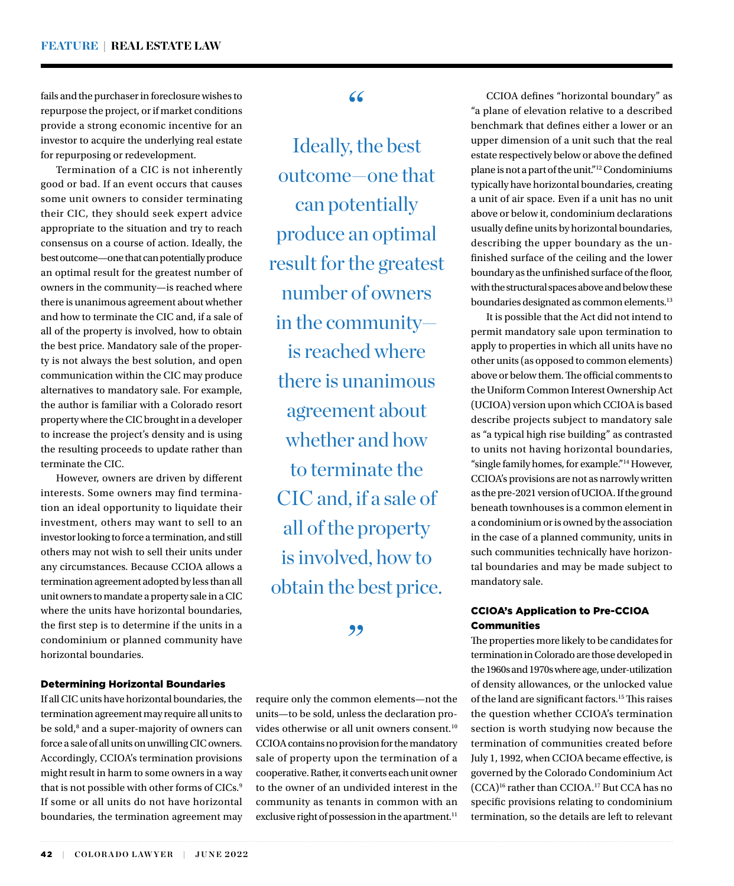fails and the purchaser in foreclosure wishes to repurpose the project, or if market conditions provide a strong economic incentive for an investor to acquire the underlying real estate for repurposing or redevelopment.

Termination of a CIC is not inherently good or bad. If an event occurs that causes some unit owners to consider terminating their CIC, they should seek expert advice appropriate to the situation and try to reach consensus on a course of action. Ideally, the best outcome—one that can potentially produce an optimal result for the greatest number of owners in the community—is reached where there is unanimous agreement about whether and how to terminate the CIC and, if a sale of all of the property is involved, how to obtain the best price. Mandatory sale of the property is not always the best solution, and open communication within the CIC may produce alternatives to mandatory sale. For example, the author is familiar with a Colorado resort property where the CIC brought in a developer to increase the project's density and is using the resulting proceeds to update rather than terminate the CIC.

However, owners are driven by different interests. Some owners may find termination an ideal opportunity to liquidate their investment, others may want to sell to an investor looking to force a termination, and still others may not wish to sell their units under any circumstances. Because CCIOA allows a termination agreement adopted by less than all unit owners to mandate a property sale in a CIC where the units have horizontal boundaries, the first step is to determine if the units in a condominium or planned community have horizontal boundaries.

# Determining Horizontal Boundaries

If all CIC units have horizontal boundaries, the termination agreement may require all units to be sold,<sup>8</sup> and a super-majority of owners can force a sale of all units on unwilling CIC owners. Accordingly, CCIOA's termination provisions might result in harm to some owners in a way that is not possible with other forms of CICs.<sup>9</sup> If some or all units do not have horizontal boundaries, the termination agreement may

# "

Ideally, the best outcome—one that can potentially produce an optimal result for the greatest number of owners in the community is reached where there is unanimous agreement about whether and how to terminate the CIC and, if a sale of all of the property is involved, how to obtain the best price.

,,

require only the common elements—not the units—to be sold, unless the declaration provides otherwise or all unit owners consent.<sup>10</sup> CCIOA contains no provision for the mandatory sale of property upon the termination of a cooperative. Rather, it converts each unit owner to the owner of an undivided interest in the community as tenants in common with an exclusive right of possession in the apartment.<sup>11</sup>

CCIOA defines "horizontal boundary" as "a plane of elevation relative to a described benchmark that defines either a lower or an upper dimension of a unit such that the real estate respectively below or above the defined plane is not a part of the unit."12 Condominiums typically have horizontal boundaries, creating a unit of air space. Even if a unit has no unit above or below it, condominium declarations usually define units by horizontal boundaries, describing the upper boundary as the unfinished surface of the ceiling and the lower boundary as the unfinished surface of the floor, with the structural spaces above and below these boundaries designated as common elements.13

It is possible that the Act did not intend to permit mandatory sale upon termination to apply to properties in which all units have no other units (as opposed to common elements) above or below them. The official comments to the Uniform Common Interest Ownership Act (UCIOA) version upon which CCIOA is based describe projects subject to mandatory sale as "a typical high rise building" as contrasted to units not having horizontal boundaries, "single family homes, for example."14 However, CCIOA's provisions are not as narrowly written as the pre-2021 version of UCIOA. If the ground beneath townhouses is a common element in a condominium or is owned by the association in the case of a planned community, units in such communities technically have horizontal boundaries and may be made subject to mandatory sale.

# CCIOA's Application to Pre-CCIOA **Communities**

The properties more likely to be candidates for termination in Colorado are those developed in the 1960s and 1970s where age, under-utilization of density allowances, or the unlocked value of the land are significant factors.15 This raises the question whether CCIOA's termination section is worth studying now because the termination of communities created before July 1, 1992, when CCIOA became effective, is governed by the Colorado Condominium Act (CCA)16 rather than CCIOA.17 But CCA has no specific provisions relating to condominium termination, so the details are left to relevant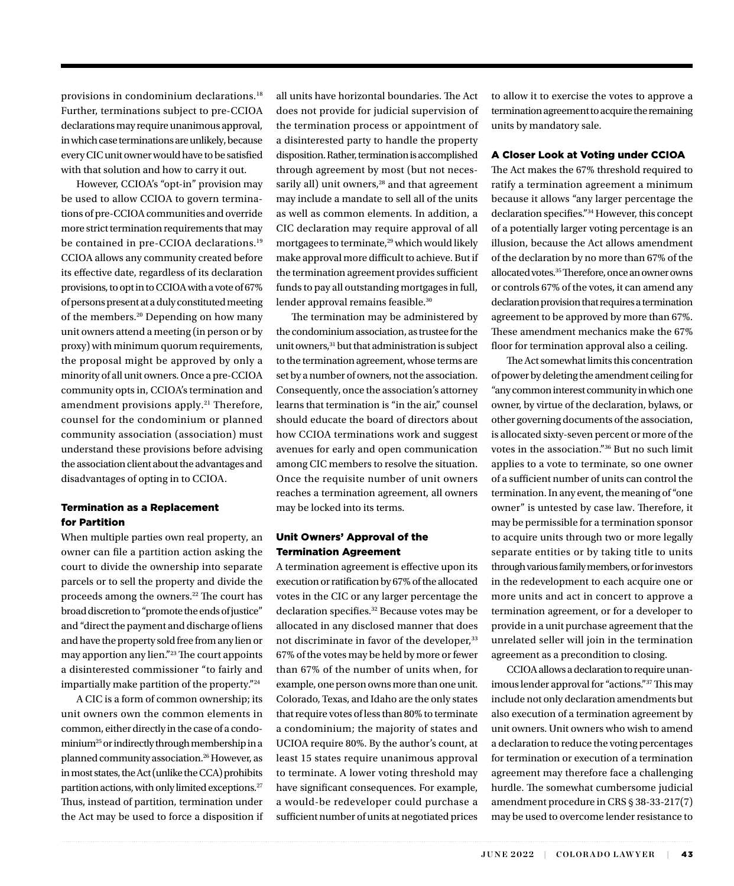provisions in condominium declarations.<sup>18</sup> Further, terminations subject to pre-CCIOA declarations may require unanimous approval, in which case terminations are unlikely, because every CIC unit owner would have to be satisfied with that solution and how to carry it out.

However, CCIOA's "opt-in" provision may be used to allow CCIOA to govern terminations of pre-CCIOA communities and override more strict termination requirements that may be contained in pre-CCIOA declarations.<sup>19</sup> CCIOA allows any community created before its effective date, regardless of its declaration provisions, to opt in to CCIOA with a vote of 67% of persons present at a duly constituted meeting of the members.<sup>20</sup> Depending on how many unit owners attend a meeting (in person or by proxy) with minimum quorum requirements, the proposal might be approved by only a minority of all unit owners. Once a pre-CCIOA community opts in, CCIOA's termination and amendment provisions apply. $21$  Therefore, counsel for the condominium or planned community association (association) must understand these provisions before advising the association client about the advantages and disadvantages of opting in to CCIOA.

# Termination as a Replacement for Partition

When multiple parties own real property, an owner can file a partition action asking the court to divide the ownership into separate parcels or to sell the property and divide the proceeds among the owners.<sup>22</sup> The court has broad discretion to "promote the ends of justice" and "direct the payment and discharge of liens and have the property sold free from any lien or may apportion any lien."23 The court appoints a disinterested commissioner "to fairly and impartially make partition of the property."24

A CIC is a form of common ownership; its unit owners own the common elements in common, either directly in the case of a condominium25 or indirectly through membership in a planned community association.26 However, as in most states, the Act (unlike the CCA) prohibits partition actions, with only limited exceptions.<sup>27</sup> Thus, instead of partition, termination under the Act may be used to force a disposition if all units have horizontal boundaries. The Act does not provide for judicial supervision of the termination process or appointment of a disinterested party to handle the property disposition. Rather, termination is accomplished through agreement by most (but not necessarily all) unit owners,<sup>28</sup> and that agreement may include a mandate to sell all of the units as well as common elements. In addition, a CIC declaration may require approval of all mortgagees to terminate,<sup>29</sup> which would likely make approval more difficult to achieve. But if the termination agreement provides sufficient funds to pay all outstanding mortgages in full, lender approval remains feasible.<sup>30</sup>

The termination may be administered by the condominium association, as trustee for the unit owners,<sup>31</sup> but that administration is subject to the termination agreement, whose terms are set by a number of owners, not the association. Consequently, once the association's attorney learns that termination is "in the air," counsel should educate the board of directors about how CCIOA terminations work and suggest avenues for early and open communication among CIC members to resolve the situation. Once the requisite number of unit owners reaches a termination agreement, all owners may be locked into its terms.

# Unit Owners' Approval of the Termination Agreement

A termination agreement is effective upon its execution or ratification by 67% of the allocated votes in the CIC or any larger percentage the declaration specifies.<sup>32</sup> Because votes may be allocated in any disclosed manner that does not discriminate in favor of the developer,<sup>33</sup> 67% of the votes may be held by more or fewer than 67% of the number of units when, for example, one person owns more than one unit. Colorado, Texas, and Idaho are the only states that require votes of less than 80% to terminate a condominium; the majority of states and UCIOA require 80%. By the author's count, at least 15 states require unanimous approval to terminate. A lower voting threshold may have significant consequences. For example, a would-be redeveloper could purchase a sufficient number of units at negotiated prices to allow it to exercise the votes to approve a termination agreement to acquire the remaining units by mandatory sale.

# A Closer Look at Voting under CCIOA

The Act makes the 67% threshold required to ratify a termination agreement a minimum because it allows "any larger percentage the declaration specifies."34 However, this concept of a potentially larger voting percentage is an illusion, because the Act allows amendment of the declaration by no more than 67% of the allocated votes.<sup>35</sup> Therefore, once an owner owns or controls 67% of the votes, it can amend any declaration provision that requires a termination agreement to be approved by more than 67%. These amendment mechanics make the 67% floor for termination approval also a ceiling.

The Act somewhat limits this concentration of power by deleting the amendment ceiling for "any common interest community in which one owner, by virtue of the declaration, bylaws, or other governing documents of the association, is allocated sixty-seven percent or more of the votes in the association."36 But no such limit applies to a vote to terminate, so one owner of a sufficient number of units can control the termination. In any event, the meaning of "one owner" is untested by case law. Therefore, it may be permissible for a termination sponsor to acquire units through two or more legally separate entities or by taking title to units through various family members, or for investors in the redevelopment to each acquire one or more units and act in concert to approve a termination agreement, or for a developer to provide in a unit purchase agreement that the unrelated seller will join in the termination agreement as a precondition to closing.

CCIOA allows a declaration to require unanimous lender approval for "actions."37 This may include not only declaration amendments but also execution of a termination agreement by unit owners. Unit owners who wish to amend a declaration to reduce the voting percentages for termination or execution of a termination agreement may therefore face a challenging hurdle. The somewhat cumbersome judicial amendment procedure in CRS § 38-33-217(7) may be used to overcome lender resistance to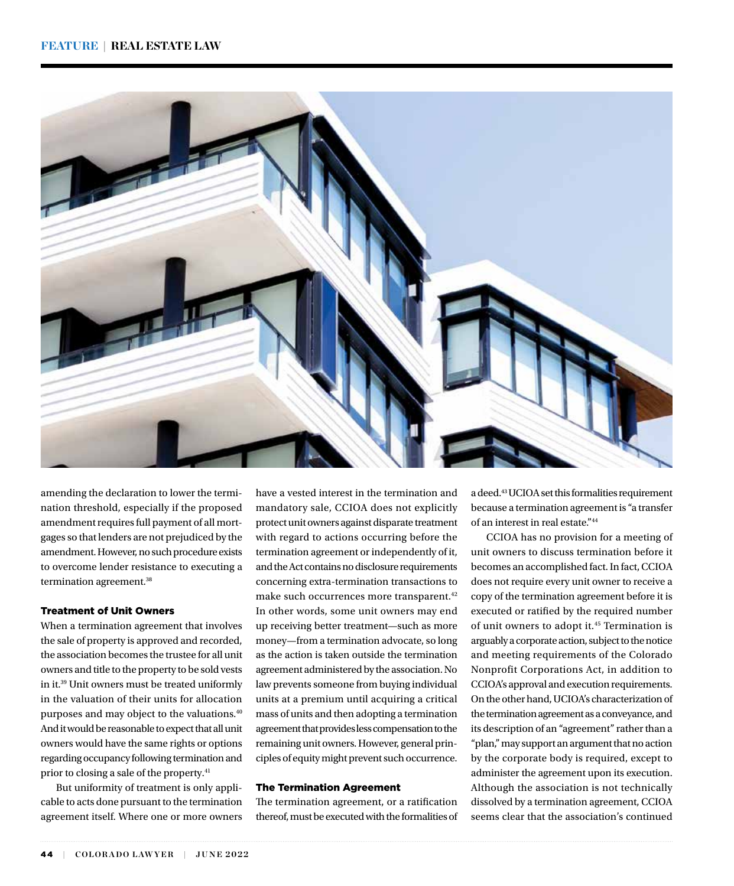

amending the declaration to lower the termination threshold, especially if the proposed amendment requires full payment of all mortgages so that lenders are not prejudiced by the amendment. However, no such procedure exists to overcome lender resistance to executing a termination agreement.<sup>38</sup>

### Treatment of Unit Owners

When a termination agreement that involves the sale of property is approved and recorded, the association becomes the trustee for all unit owners and title to the property to be sold vests in it.39 Unit owners must be treated uniformly in the valuation of their units for allocation purposes and may object to the valuations.40 And it would be reasonable to expect that all unit owners would have the same rights or options regarding occupancy following termination and prior to closing a sale of the property.<sup>41</sup>

But uniformity of treatment is only applicable to acts done pursuant to the termination agreement itself. Where one or more owners have a vested interest in the termination and mandatory sale, CCIOA does not explicitly protect unit owners against disparate treatment with regard to actions occurring before the termination agreement or independently of it, and the Act contains no disclosure requirements concerning extra-termination transactions to make such occurrences more transparent.<sup>42</sup> In other words, some unit owners may end up receiving better treatment—such as more money—from a termination advocate, so long as the action is taken outside the termination agreement administered by the association. No law prevents someone from buying individual units at a premium until acquiring a critical mass of units and then adopting a termination agreement that provides less compensation to the remaining unit owners. However, general principles of equity might prevent such occurrence.

#### The Termination Agreement

The termination agreement, or a ratification thereof, must be executed with the formalities of a deed.43 UCIOA set this formalities requirement because a termination agreement is "a transfer of an interest in real estate."44

CCIOA has no provision for a meeting of unit owners to discuss termination before it becomes an accomplished fact. In fact, CCIOA does not require every unit owner to receive a copy of the termination agreement before it is executed or ratified by the required number of unit owners to adopt it.<sup>45</sup> Termination is arguably a corporate action, subject to the notice and meeting requirements of the Colorado Nonprofit Corporations Act, in addition to CCIOA's approval and execution requirements. On the other hand, UCIOA's characterization of the termination agreement as a conveyance, and its description of an "agreement" rather than a "plan," may support an argument that no action by the corporate body is required, except to administer the agreement upon its execution. Although the association is not technically dissolved by a termination agreement, CCIOA seems clear that the association's continued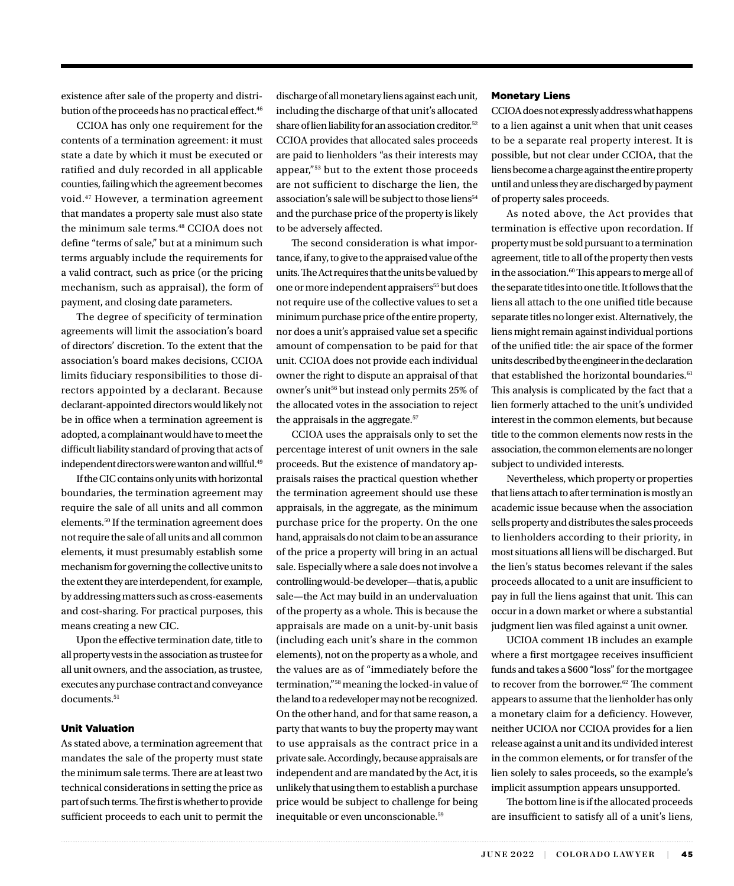existence after sale of the property and distribution of the proceeds has no practical effect.<sup>46</sup>

CCIOA has only one requirement for the contents of a termination agreement: it must state a date by which it must be executed or ratified and duly recorded in all applicable counties, failing which the agreement becomes void.47 However, a termination agreement that mandates a property sale must also state the minimum sale terms.<sup>48</sup> CCIOA does not define "terms of sale," but at a minimum such terms arguably include the requirements for a valid contract, such as price (or the pricing mechanism, such as appraisal), the form of payment, and closing date parameters.

The degree of specificity of termination agreements will limit the association's board of directors' discretion. To the extent that the association's board makes decisions, CCIOA limits fiduciary responsibilities to those directors appointed by a declarant. Because declarant-appointed directors would likely not be in office when a termination agreement is adopted, a complainant would have to meet the difficult liability standard of proving that acts of independent directors were wanton and willful.<sup>49</sup>

If the CIC contains only units with horizontal boundaries, the termination agreement may require the sale of all units and all common elements.50 If the termination agreement does not require the sale of all units and all common elements, it must presumably establish some mechanism for governing the collective units to the extent they are interdependent, for example, by addressing matters such as cross-easements and cost-sharing. For practical purposes, this means creating a new CIC.

Upon the effective termination date, title to all property vests in the association as trustee for all unit owners, and the association, as trustee, executes any purchase contract and conveyance documents.<sup>51</sup>

# Unit Valuation

As stated above, a termination agreement that mandates the sale of the property must state the minimum sale terms. There are at least two technical considerations in setting the price as part of such terms. The first is whether to provide sufficient proceeds to each unit to permit the discharge of all monetary liens against each unit, including the discharge of that unit's allocated share of lien liability for an association creditor.<sup>52</sup> CCIOA provides that allocated sales proceeds are paid to lienholders "as their interests may appear,"53 but to the extent those proceeds are not sufficient to discharge the lien, the association's sale will be subject to those liens<sup>54</sup> and the purchase price of the property is likely to be adversely affected.

The second consideration is what importance, if any, to give to the appraised value of the units. The Act requires that the units be valued by one or more independent appraisers<sup>55</sup> but does not require use of the collective values to set a minimum purchase price of the entire property, nor does a unit's appraised value set a specific amount of compensation to be paid for that unit. CCIOA does not provide each individual owner the right to dispute an appraisal of that owner's unit56 but instead only permits 25% of the allocated votes in the association to reject the appraisals in the aggregate.<sup>57</sup>

CCIOA uses the appraisals only to set the percentage interest of unit owners in the sale proceeds. But the existence of mandatory appraisals raises the practical question whether the termination agreement should use these appraisals, in the aggregate, as the minimum purchase price for the property. On the one hand, appraisals do not claim to be an assurance of the price a property will bring in an actual sale. Especially where a sale does not involve a controlling would-be developer—that is, a public sale—the Act may build in an undervaluation of the property as a whole. This is because the appraisals are made on a unit-by-unit basis (including each unit's share in the common elements), not on the property as a whole, and the values are as of "immediately before the termination,"58 meaning the locked-in value of the land to a redeveloper may not be recognized. On the other hand, and for that same reason, a party that wants to buy the property may want to use appraisals as the contract price in a private sale. Accordingly, because appraisals are independent and are mandated by the Act, it is unlikely that using them to establish a purchase price would be subject to challenge for being inequitable or even unconscionable.59

## Monetary Liens

CCIOA does not expressly address what happens to a lien against a unit when that unit ceases to be a separate real property interest. It is possible, but not clear under CCIOA, that the liens become a charge against the entire property until and unless they are discharged by payment of property sales proceeds.

As noted above, the Act provides that termination is effective upon recordation. If property must be sold pursuant to a termination agreement, title to all of the property then vests in the association.<sup>60</sup> This appears to merge all of the separate titles into one title. It follows that the liens all attach to the one unified title because separate titles no longer exist. Alternatively, the liens might remain against individual portions of the unified title: the air space of the former units described by the engineer in the declaration that established the horizontal boundaries.<sup>61</sup> This analysis is complicated by the fact that a lien formerly attached to the unit's undivided interest in the common elements, but because title to the common elements now rests in the association, the common elements are no longer subject to undivided interests.

Nevertheless, which property or properties that liens attach to after termination is mostly an academic issue because when the association sells property and distributes the sales proceeds to lienholders according to their priority, in most situations all liens will be discharged. But the lien's status becomes relevant if the sales proceeds allocated to a unit are insufficient to pay in full the liens against that unit. This can occur in a down market or where a substantial judgment lien was filed against a unit owner.

UCIOA comment 1B includes an example where a first mortgagee receives insufficient funds and takes a \$600 "loss" for the mortgagee to recover from the borrower.<sup>62</sup> The comment appears to assume that the lienholder has only a monetary claim for a deficiency. However, neither UCIOA nor CCIOA provides for a lien release against a unit and its undivided interest in the common elements, or for transfer of the lien solely to sales proceeds, so the example's implicit assumption appears unsupported.

The bottom line is if the allocated proceeds are insufficient to satisfy all of a unit's liens,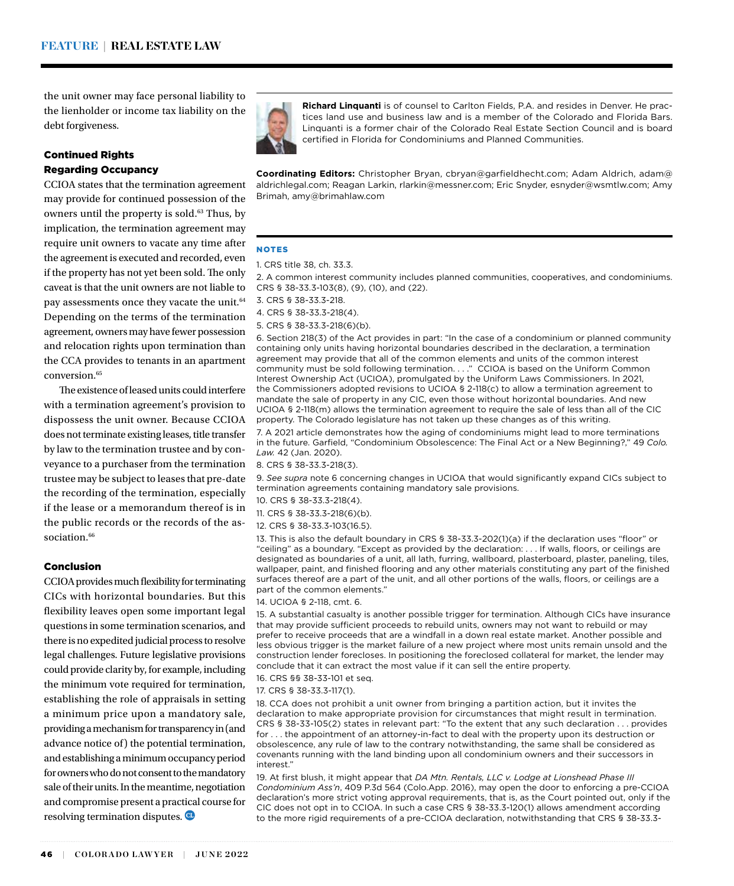the unit owner may face personal liability to the lienholder or income tax liability on the debt forgiveness.

# Continued Rights Regarding Occupancy

CCIOA states that the termination agreement may provide for continued possession of the owners until the property is sold.<sup>63</sup> Thus, by implication, the termination agreement may require unit owners to vacate any time after the agreement is executed and recorded, even if the property has not yet been sold. The only caveat is that the unit owners are not liable to pay assessments once they vacate the unit.<sup>64</sup> Depending on the terms of the termination agreement, owners may have fewer possession and relocation rights upon termination than the CCA provides to tenants in an apartment conversion.<sup>65</sup>

The existence of leased units could interfere with a termination agreement's provision to dispossess the unit owner. Because CCIOA does not terminate existing leases, title transfer by law to the termination trustee and by conveyance to a purchaser from the termination trustee may be subject to leases that pre-date the recording of the termination, especially if the lease or a memorandum thereof is in the public records or the records of the association.<sup>66</sup>

## Conclusion

CCIOA provides much flexibility for terminating CICs with horizontal boundaries. But this flexibility leaves open some important legal questions in some termination scenarios, and there is no expedited judicial process to resolve legal challenges. Future legislative provisions could provide clarity by, for example, including the minimum vote required for termination, establishing the role of appraisals in setting a minimum price upon a mandatory sale, providing a mechanism for transparency in (and advance notice of) the potential termination, and establishing a minimum occupancy period for owners who do not consent to the mandatory sale of their units. In the meantime, negotiation and compromise present a practical course for resolving termination disputes.



**Richard Linquanti** is of counsel to Carlton Fields, P.A. and resides in Denver. He practices land use and business law and is a member of the Colorado and Florida Bars. Linquanti is a former chair of the Colorado Real Estate Section Council and is board certified in Florida for Condominiums and Planned Communities.

**Coordinating Editors:** Christopher Bryan, cbryan@garfieldhecht.com; Adam Aldrich, adam@ aldrichlegal.com; Reagan Larkin, rlarkin@messner.com; Eric Snyder, esnyder@wsmtlw.com; Amy Brimah, amy@brimahlaw.com

# NOTES

```
1. CRS title 38, ch. 33.3.
```
2. A common interest community includes planned communities, cooperatives, and condominiums. CRS § 38-33.3-103(8), (9), (10), and (22).

3. CRS § 38-33.3-218.

- 4. CRS § 38-33.3-218(4).
- 5. CRS § 38-33.3-218(6)(b).

6. Section 218(3) of the Act provides in part: "In the case of a condominium or planned community containing only units having horizontal boundaries described in the declaration, a termination agreement may provide that all of the common elements and units of the common interest community must be sold following termination. . . ." CCIOA is based on the Uniform Common Interest Ownership Act (UCIOA), promulgated by the Uniform Laws Commissioners. In 2021, the Commissioners adopted revisions to UCIOA § 2-118(c) to allow a termination agreement to mandate the sale of property in any CIC, even those without horizontal boundaries. And new UCIOA § 2-118(m) allows the termination agreement to require the sale of less than all of the CIC property. The Colorado legislature has not taken up these changes as of this writing.

7. A 2021 article demonstrates how the aging of condominiums might lead to more terminations in the future. Garfield, "Condominium Obsolescence: The Final Act or a New Beginning?," 49 *Colo. Law.* 42 (Jan. 2020).

8. CRS § 38-33.3-218(3).

9. *See supra* note 6 concerning changes in UCIOA that would significantly expand CICs subject to termination agreements containing mandatory sale provisions.

10. CRS § 38-33.3-218(4).

11. CRS § 38-33.3-218(6)(b).

12. CRS § 38-33.3-103(16.5).

13. This is also the default boundary in CRS § 38-33.3-202(1)(a) if the declaration uses "floor" or "ceiling" as a boundary. "Except as provided by the declaration: . . . If walls, floors, or ceilings are designated as boundaries of a unit, all lath, furring, wallboard, plasterboard, plaster, paneling, tiles, wallpaper, paint, and finished flooring and any other materials constituting any part of the finished surfaces thereof are a part of the unit, and all other portions of the walls, floors, or ceilings are a part of the common elements."

14. UCIOA § 2-118, cmt. 6.

15. A substantial casualty is another possible trigger for termination. Although CICs have insurance that may provide sufficient proceeds to rebuild units, owners may not want to rebuild or may prefer to receive proceeds that are a windfall in a down real estate market. Another possible and less obvious trigger is the market failure of a new project where most units remain unsold and the construction lender forecloses. In positioning the foreclosed collateral for market, the lender may conclude that it can extract the most value if it can sell the entire property.

16. CRS §§ 38-33-101 et seq.

#### 17. CRS § 38-33.3-117(1).

18. CCA does not prohibit a unit owner from bringing a partition action, but it invites the declaration to make appropriate provision for circumstances that might result in termination. CRS § 38-33-105(2) states in relevant part: "To the extent that any such declaration . . . provides for . . . the appointment of an attorney-in-fact to deal with the property upon its destruction or obsolescence, any rule of law to the contrary notwithstanding, the same shall be considered as covenants running with the land binding upon all condominium owners and their successors in interest."

19. At first blush, it might appear that *DA Mtn. Rentals, LLC v. Lodge at Lionshead Phase III Condominium Ass'n*, 409 P.3d 564 (Colo.App. 2016), may open the door to enforcing a pre-CCIOA declaration's more strict voting approval requirements, that is, as the Court pointed out, only if the CIC does not opt in to CCIOA. In such a case CRS § 38-33.3-120(1) allows amendment according to the more rigid requirements of a pre-CCIOA declaration, notwithstanding that CRS § 38-33.3